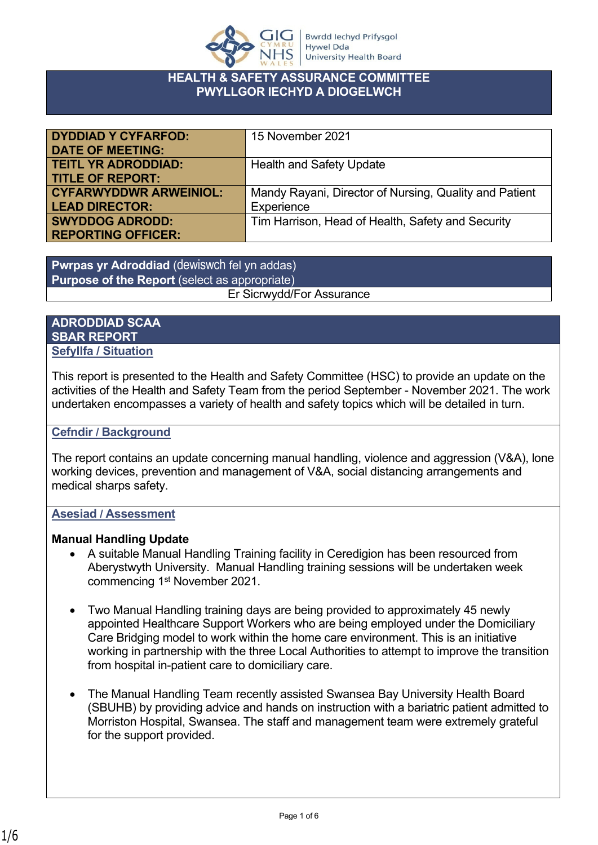

### **HEALTH & SAFETY ASSURANCE COMMITTEE PWYLLGOR IECHYD A DIOGELWCH**

| <b>DYDDIAD Y CYFARFOD:</b>    | 15 November 2021                                       |
|-------------------------------|--------------------------------------------------------|
| <b>DATE OF MEETING:</b>       |                                                        |
| <b>TEITL YR ADRODDIAD:</b>    | <b>Health and Safety Update</b>                        |
| <b>TITLE OF REPORT:</b>       |                                                        |
| <b>CYFARWYDDWR ARWEINIOL:</b> | Mandy Rayani, Director of Nursing, Quality and Patient |
| <b>LEAD DIRECTOR:</b>         | Experience                                             |
| <b>SWYDDOG ADRODD:</b>        | Tim Harrison, Head of Health, Safety and Security      |
| <b>REPORTING OFFICER:</b>     |                                                        |

**Pwrpas yr Adroddiad** (dewiswch fel yn addas) **Purpose of the Report** (select as appropriate) Er Sicrwydd/For Assurance

## **ADRODDIAD SCAA SBAR REPORT Sefyllfa / Situation**

This report is presented to the Health and Safety Committee (HSC) to provide an update on the activities of the Health and Safety Team from the period September - November 2021. The work undertaken encompasses a variety of health and safety topics which will be detailed in turn.

#### **Cefndir / Background**

The report contains an update concerning manual handling, violence and aggression (V&A), lone working devices, prevention and management of V&A, social distancing arrangements and medical sharps safety.

# **Asesiad / Assessment**

#### **Manual Handling Update**

- A suitable Manual Handling Training facility in Ceredigion has been resourced from Aberystwyth University. Manual Handling training sessions will be undertaken week commencing 1st November 2021.
- Two Manual Handling training days are being provided to approximately 45 newly appointed Healthcare Support Workers who are being employed under the Domiciliary Care Bridging model to work within the home care environment. This is an initiative working in partnership with the three Local Authorities to attempt to improve the transition from hospital in-patient care to domiciliary care.
- The Manual Handling Team recently assisted Swansea Bay University Health Board (SBUHB) by providing advice and hands on instruction with a bariatric patient admitted to Morriston Hospital, Swansea. The staff and management team were extremely grateful for the support provided.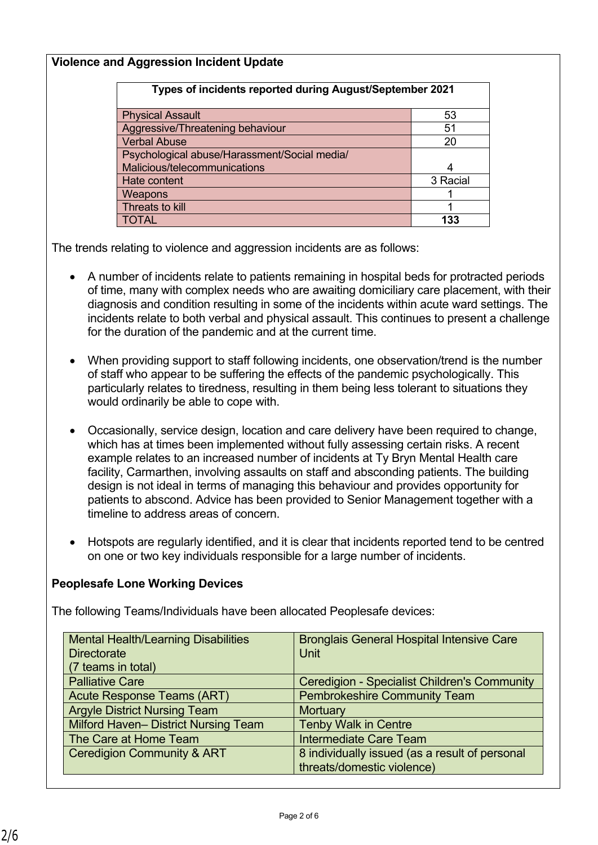## **Violence and Aggression Incident Update**

| Types of incidents reported during August/September 2021 |          |
|----------------------------------------------------------|----------|
| <b>Physical Assault</b>                                  | 53       |
| Aggressive/Threatening behaviour                         | 51       |
| <b>Verbal Abuse</b>                                      | 20       |
| Psychological abuse/Harassment/Social media/             |          |
| Malicious/telecommunications                             |          |
| Hate content                                             | 3 Racial |
| Weapons                                                  |          |
| Threats to kill                                          |          |
| TOTAL                                                    | 133      |

The trends relating to violence and aggression incidents are as follows:

- A number of incidents relate to patients remaining in hospital beds for protracted periods of time, many with complex needs who are awaiting domiciliary care placement, with their diagnosis and condition resulting in some of the incidents within acute ward settings. The incidents relate to both verbal and physical assault. This continues to present a challenge for the duration of the pandemic and at the current time.
- When providing support to staff following incidents, one observation/trend is the number of staff who appear to be suffering the effects of the pandemic psychologically. This particularly relates to tiredness, resulting in them being less tolerant to situations they would ordinarily be able to cope with.
- Occasionally, service design, location and care delivery have been required to change, which has at times been implemented without fully assessing certain risks. A recent example relates to an increased number of incidents at Ty Bryn Mental Health care facility, Carmarthen, involving assaults on staff and absconding patients. The building design is not ideal in terms of managing this behaviour and provides opportunity for patients to abscond. Advice has been provided to Senior Management together with a timeline to address areas of concern.
- Hotspots are regularly identified, and it is clear that incidents reported tend to be centred on one or two key individuals responsible for a large number of incidents.

# **Peoplesafe Lone Working Devices**

The following Teams/Individuals have been allocated Peoplesafe devices:

| <b>Mental Health/Learning Disabilities</b>  | <b>Bronglais General Hospital Intensive Care</b>    |
|---------------------------------------------|-----------------------------------------------------|
| <b>Directorate</b>                          | <b>Unit</b>                                         |
| (7 teams in total)                          |                                                     |
| <b>Palliative Care</b>                      | <b>Ceredigion - Specialist Children's Community</b> |
| <b>Acute Response Teams (ART)</b>           | <b>Pembrokeshire Community Team</b>                 |
| <b>Argyle District Nursing Team</b>         | <b>Mortuary</b>                                     |
| <b>Milford Haven- District Nursing Team</b> | <b>Tenby Walk in Centre</b>                         |
| The Care at Home Team                       | <b>Intermediate Care Team</b>                       |
| <b>Ceredigion Community &amp; ART</b>       | 8 individually issued (as a result of personal      |
|                                             | threats/domestic violence)                          |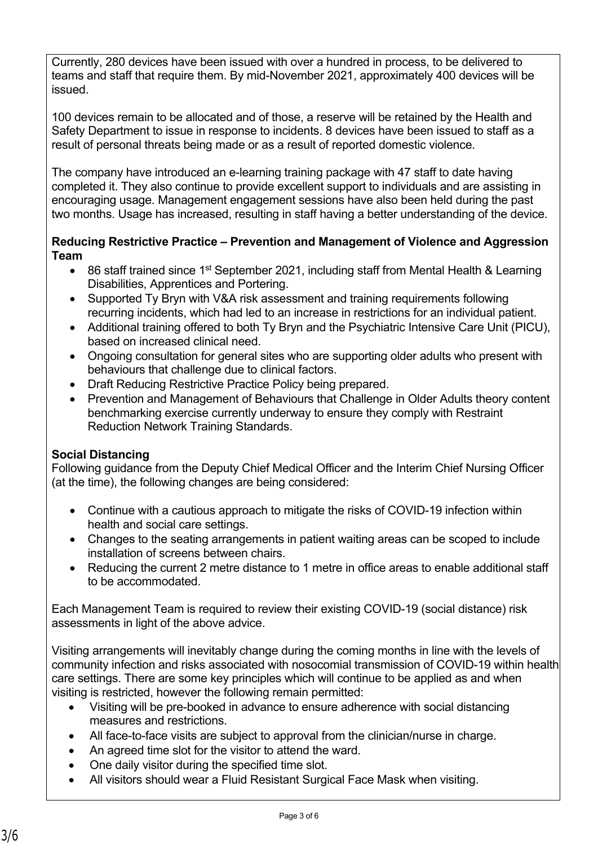Currently, 280 devices have been issued with over a hundred in process, to be delivered to teams and staff that require them. By mid-November 2021, approximately 400 devices will be issued.

100 devices remain to be allocated and of those, a reserve will be retained by the Health and Safety Department to issue in response to incidents. 8 devices have been issued to staff as a result of personal threats being made or as a result of reported domestic violence.

The company have introduced an e-learning training package with 47 staff to date having completed it. They also continue to provide excellent support to individuals and are assisting in encouraging usage. Management engagement sessions have also been held during the past two months. Usage has increased, resulting in staff having a better understanding of the device.

#### **Reducing Restrictive Practice – Prevention and Management of Violence and Aggression Team**

- 86 staff trained since 1<sup>st</sup> September 2021, including staff from Mental Health & Learning Disabilities, Apprentices and Portering.
- Supported Ty Bryn with V&A risk assessment and training requirements following recurring incidents, which had led to an increase in restrictions for an individual patient.
- Additional training offered to both Ty Bryn and the Psychiatric Intensive Care Unit (PICU), based on increased clinical need.
- Ongoing consultation for general sites who are supporting older adults who present with behaviours that challenge due to clinical factors.
- Draft Reducing Restrictive Practice Policy being prepared.
- Prevention and Management of Behaviours that Challenge in Older Adults theory content benchmarking exercise currently underway to ensure they comply with Restraint Reduction Network Training Standards.

# **Social Distancing**

Following guidance from the Deputy Chief Medical Officer and the Interim Chief Nursing Officer (at the time), the following changes are being considered:

- Continue with a cautious approach to mitigate the risks of COVID-19 infection within health and social care settings.
- Changes to the seating arrangements in patient waiting areas can be scoped to include installation of screens between chairs.
- Reducing the current 2 metre distance to 1 metre in office areas to enable additional staff to be accommodated.

Each Management Team is required to review their existing COVID-19 (social distance) risk assessments in light of the above advice.

Visiting arrangements will inevitably change during the coming months in line with the levels of community infection and risks associated with nosocomial transmission of COVID-19 within health care settings. There are some key principles which will continue to be applied as and when visiting is restricted, however the following remain permitted:

- Visiting will be pre-booked in advance to ensure adherence with social distancing measures and restrictions.
- All face-to-face visits are subject to approval from the clinician/nurse in charge.
- An agreed time slot for the visitor to attend the ward.
- One daily visitor during the specified time slot.
- All visitors should wear a Fluid Resistant Surgical Face Mask when visiting.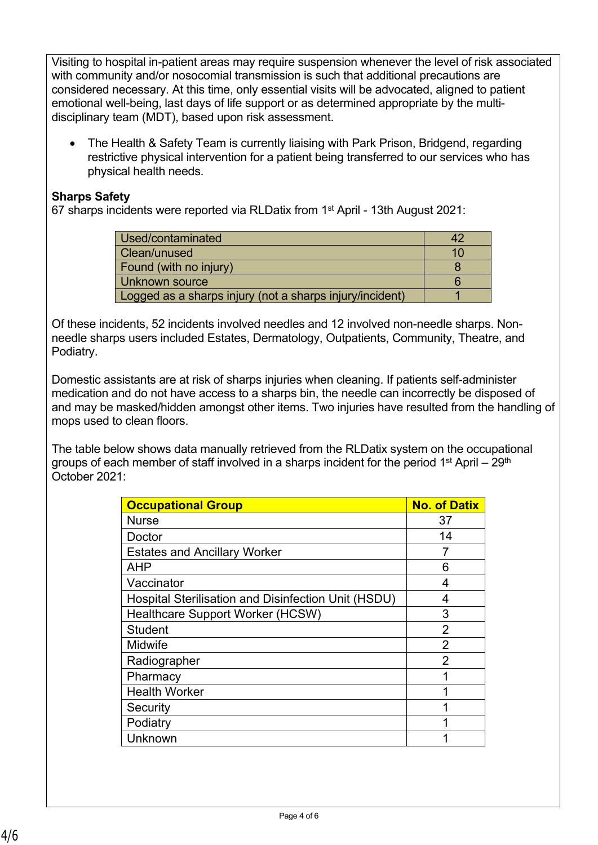Visiting to hospital in-patient areas may require suspension whenever the level of risk associated with community and/or nosocomial transmission is such that additional precautions are considered necessary. At this time, only essential visits will be advocated, aligned to patient emotional well-being, last days of life support or as determined appropriate by the multidisciplinary team (MDT), based upon risk assessment.

 The Health & Safety Team is currently liaising with Park Prison, Bridgend, regarding restrictive physical intervention for a patient being transferred to our services who has physical health needs.

## **Sharps Safety**

67 sharps incidents were reported via RLDatix from 1st April - 13th August 2021:

| Used/contaminated                                        |  |
|----------------------------------------------------------|--|
| Clean/unused                                             |  |
| Found (with no injury)                                   |  |
| Unknown source                                           |  |
| Logged as a sharps injury (not a sharps injury/incident) |  |

Of these incidents, 52 incidents involved needles and 12 involved non-needle sharps. Nonneedle sharps users included Estates, Dermatology, Outpatients, Community, Theatre, and Podiatry.

Domestic assistants are at risk of sharps injuries when cleaning. If patients self-administer medication and do not have access to a sharps bin, the needle can incorrectly be disposed of and may be masked/hidden amongst other items. Two injuries have resulted from the handling of mops used to clean floors.

The table below shows data manually retrieved from the RLDatix system on the occupational groups of each member of staff involved in a sharps incident for the period  $1<sup>st</sup>$  April – 29<sup>th</sup> October 2021:

| <b>Occupational Group</b>                           | <b>No. of Datix</b> |
|-----------------------------------------------------|---------------------|
| <b>Nurse</b>                                        | 37                  |
| Doctor                                              | 14                  |
| <b>Estates and Ancillary Worker</b>                 |                     |
| <b>AHP</b>                                          | 6                   |
| Vaccinator                                          | 4                   |
| Hospital Sterilisation and Disinfection Unit (HSDU) | 4                   |
| <b>Healthcare Support Worker (HCSW)</b>             | 3                   |
| <b>Student</b>                                      | 2                   |
| Midwife                                             | $\overline{2}$      |
| Radiographer                                        | $\mathfrak{p}$      |
| Pharmacy                                            |                     |
| <b>Health Worker</b>                                |                     |
| Security                                            | 1                   |
| Podiatry                                            |                     |
| Unknown                                             |                     |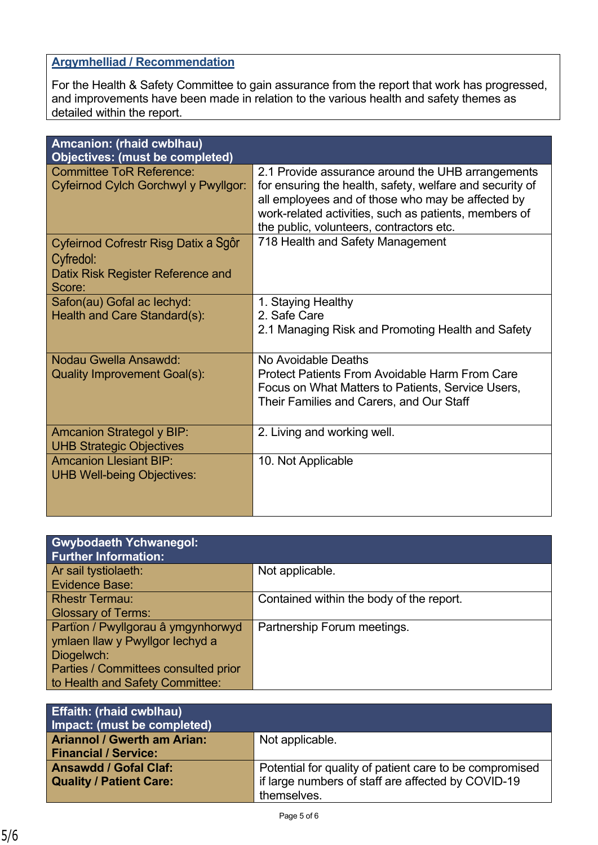# **Argymhelliad / Recommendation**

For the Health & Safety Committee to gain assurance from the report that work has progressed, and improvements have been made in relation to the various health and safety themes as detailed within the report.

| Amcanion: (rhaid cwblhau)<br>Objectives: (must be completed)                                     |                                                                                                                                                                                                                                                                         |
|--------------------------------------------------------------------------------------------------|-------------------------------------------------------------------------------------------------------------------------------------------------------------------------------------------------------------------------------------------------------------------------|
| <b>Committee ToR Reference:</b><br>Cyfeirnod Cylch Gorchwyl y Pwyllgor:                          | 2.1 Provide assurance around the UHB arrangements<br>for ensuring the health, safety, welfare and security of<br>all employees and of those who may be affected by<br>work-related activities, such as patients, members of<br>the public, volunteers, contractors etc. |
| Cyfeirnod Cofrestr Risg Datix a Sgôr<br>Cyfredol:<br>Datix Risk Register Reference and<br>Score: | 718 Health and Safety Management                                                                                                                                                                                                                                        |
| Safon(au) Gofal ac lechyd:<br>Health and Care Standard(s):                                       | 1. Staying Healthy<br>2. Safe Care<br>2.1 Managing Risk and Promoting Health and Safety                                                                                                                                                                                 |
| Nodau Gwella Ansawdd:<br><b>Quality Improvement Goal(s):</b>                                     | No Avoidable Deaths<br><b>Protect Patients From Avoidable Harm From Care</b><br>Focus on What Matters to Patients, Service Users,<br>Their Families and Carers, and Our Staff                                                                                           |
| <b>Amcanion Strategol y BIP:</b><br><b>UHB Strategic Objectives</b>                              | 2. Living and working well.                                                                                                                                                                                                                                             |
| <b>Amcanion Llesiant BIP:</b><br><b>UHB Well-being Objectives:</b>                               | 10. Not Applicable                                                                                                                                                                                                                                                      |

| <b>Gwybodaeth Ychwanegol:</b><br><b>Further Information:</b> |                                          |
|--------------------------------------------------------------|------------------------------------------|
| Ar sail tystiolaeth:                                         | Not applicable.                          |
| Evidence Base:                                               |                                          |
| <b>Rhestr Termau:</b>                                        | Contained within the body of the report. |
| <b>Glossary of Terms:</b>                                    |                                          |
| Partïon / Pwyllgorau â ymgynhorwyd                           | Partnership Forum meetings.              |
| ymlaen llaw y Pwyllgor lechyd a                              |                                          |
| Diogelwch:                                                   |                                          |
| Parties / Committees consulted prior                         |                                          |
| to Health and Safety Committee:                              |                                          |

| <b>Effaith: (rhaid cwblhau)</b><br>Impact: (must be completed) |                                                         |
|----------------------------------------------------------------|---------------------------------------------------------|
| <b>Ariannol / Gwerth am Arian:</b>                             | Not applicable.                                         |
| <b>Financial / Service:</b>                                    |                                                         |
| <b>Ansawdd / Gofal Claf:</b>                                   | Potential for quality of patient care to be compromised |
| <b>Quality / Patient Care:</b>                                 | if large numbers of staff are affected by COVID-19      |
|                                                                | themselves.                                             |